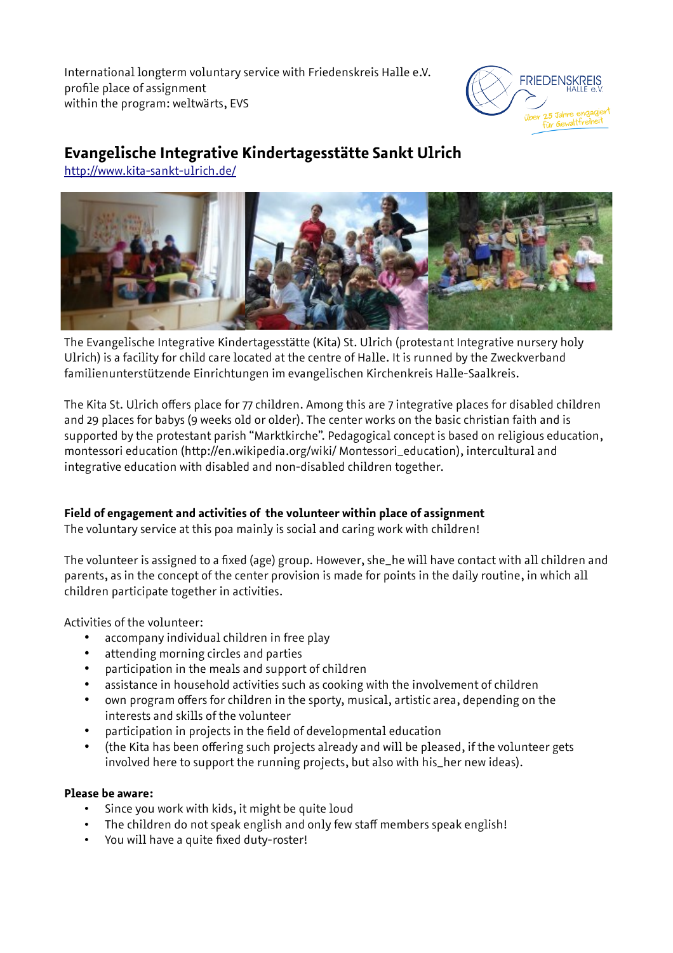International longterm voluntary service with Friedenskreis Halle e.V. profile place of assignment within the program: weltwärts, EVS



# **Evangelische Integrative Kindertagesstätte Sankt Ulrich**

<http://www.kita-sankt-ulrich.de/>



The Evangelische Integrative Kindertagesstätte (Kita) St. Ulrich (protestant Integrative nursery holy Ulrich) is a facility for child care located at the centre of Halle. It is runned by the Zweckverband familienunterstützende Einrichtungen im evangelischen Kirchenkreis Halle-Saalkreis.

The Kita St. Ulrich offers place for 77 children. Among this are 7 integrative places for disabled children and 29 places for babys (9 weeks old or older). The center works on the basic christian faith and is supported by the protestant parish "Marktkirche". Pedagogical concept is based on religious education, montessori education (http://en.wikipedia.org/wiki/ Montessori\_education), intercultural and integrative education with disabled and non-disabled children together.

## **Field of engagement and activities of the volunteer within place of assignment**

The voluntary service at this poa mainly is social and caring work with children!

The volunteer is assigned to a fixed (age) group. However, she\_he will have contact with all children and parents, as in the concept of the center provision is made for points in the daily routine, in which all children participate together in activities.

Activities of the volunteer:

- accompany individual children in free play
- attending morning circles and parties
- participation in the meals and support of children
- assistance in household activities such as cooking with the involvement of children
- own program offers for children in the sporty, musical, artistic area, depending on the interests and skills of the volunteer
- participation in projects in the field of developmental education
- (the Kita has been offering such projects already and will be pleased, if the volunteer gets involved here to support the running projects, but also with his\_her new ideas).

#### **Please be aware:**

- Since you work with kids, it might be quite loud
- The children do not speak english and only few staff members speak english!
- You will have a quite fixed duty-roster!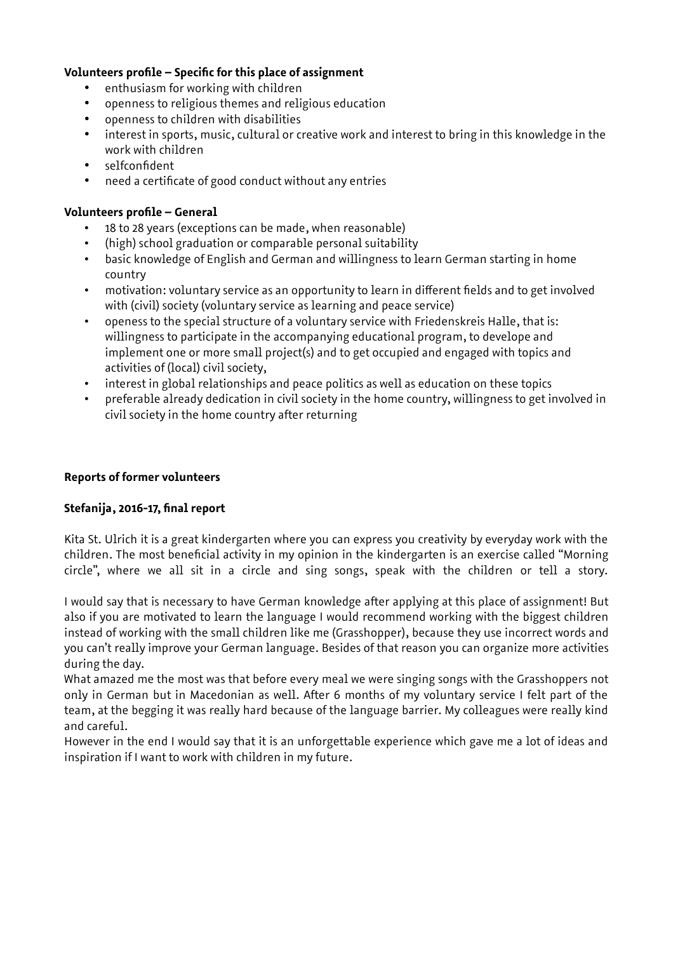### **Volunteers profile – Specific for this place of assignment**

- enthusiasm for working with children
- openness to religious themes and religious education
- openness to children with disabilities
- interest in sports, music, cultural or creative work and interest to bring in this knowledge in the work with children
- selfconfident
- need a certificate of good conduct without any entries

#### **Volunteers profile – General**

- 18 to 28 years (exceptions can be made, when reasonable)
- (high) school graduation or comparable personal suitability
- basic knowledge of English and German and willingness to learn German starting in home country
- motivation: voluntary service as an opportunity to learn in different fields and to get involved with (civil) society (voluntary service as learning and peace service)
- openess to the special structure of a voluntary service with Friedenskreis Halle, that is: willingness to participate in the accompanying educational program, to develope and implement one or more small project(s) and to get occupied and engaged with topics and activities of (local) civil society,
- interest in global relationships and peace politics as well as education on these topics
- preferable already dedication in civil society in the home country, willingness to get involved in civil society in the home country after returning

#### **Reports of former volunteers**

#### **Stefanija, 2016-17, final report**

Kita St. Ulrich it is a great kindergarten where you can express you creativity by everyday work with the children. The most beneficial activity in my opinion in the kindergarten is an exercise called "Morning circle", where we all sit in a circle and sing songs, speak with the children or tell a story.

I would say that is necessary to have German knowledge after applying at this place of assignment! But also if you are motivated to learn the language I would recommend working with the biggest children instead of working with the small children like me (Grasshopper), because they use incorrect words and you can't really improve your German language. Besides of that reason you can organize more activities during the day.

What amazed me the most was that before every meal we were singing songs with the Grasshoppers not only in German but in Macedonian as well. After 6 months of my voluntary service I felt part of the team, at the begging it was really hard because of the language barrier. My colleagues were really kind and careful.

However in the end I would say that it is an unforgettable experience which gave me a lot of ideas and inspiration if I want to work with children in my future.